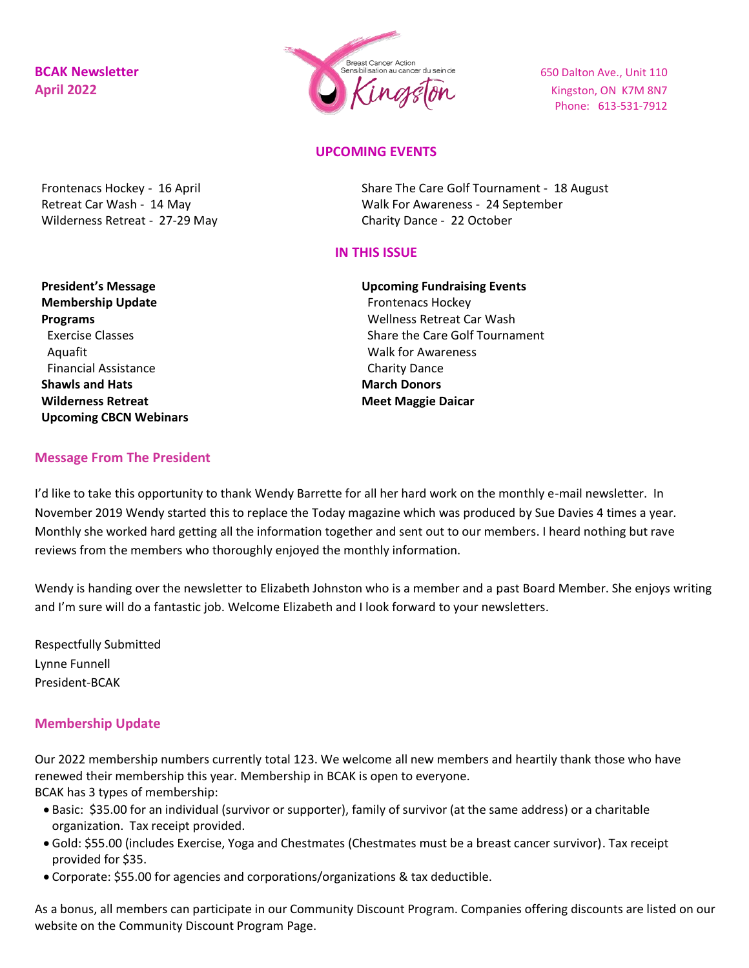

Phone: 613-531-7912

# **UPCOMING EVENTS**

Frontenacs Hockey - 16 April Retreat Car Wash - 14 May Wilderness Retreat - 27-29 May Share The Care Golf Tournament - 18 August Walk For Awareness - 24 September Charity Dance - 22 October

## **IN THIS ISSUE**

**President's Message Membership Update Programs** Exercise Classes Aquafit Financial Assistance **Shawls and Hats Wilderness Retreat Upcoming CBCN Webinars** **Upcoming Fundraising Events** Frontenacs Hockey Wellness Retreat Car Wash Share the Care Golf Tournament Walk for Awareness Charity Dance **March Donors Meet Maggie Daicar**

#### **Message From The President**

I'd like to take this opportunity to thank Wendy Barrette for all her hard work on the monthly e-mail newsletter. In November 2019 Wendy started this to replace the Today magazine which was produced by Sue Davies 4 times a year. Monthly she worked hard getting all the information together and sent out to our members. I heard nothing but rave reviews from the members who thoroughly enjoyed the monthly information.

Wendy is handing over the newsletter to Elizabeth Johnston who is a member and a past Board Member. She enjoys writing and I'm sure will do a fantastic job. Welcome Elizabeth and I look forward to your newsletters.

Respectfully Submitted Lynne Funnell President-BCAK

### **Membership Update**

Our 2022 membership numbers currently total 123. We welcome all new members and heartily thank those who have renewed their membership this year. Membership in BCAK is open to everyone. BCAK has 3 types of membership:

- Basic: \$35.00 for an individual (survivor or supporter), family of survivor (at the same address) or a charitable organization. Tax receipt provided.
- Gold: \$55.00 (includes Exercise, Yoga and Chestmates (Chestmates must be a breast cancer survivor). Tax receipt provided for \$35.
- Corporate: \$55.00 for agencies and corporations/organizations & tax deductible.

As a bonus, all members can participate in our Community Discount Program. Companies offering discounts are listed on our website on the Community Discount Program Page.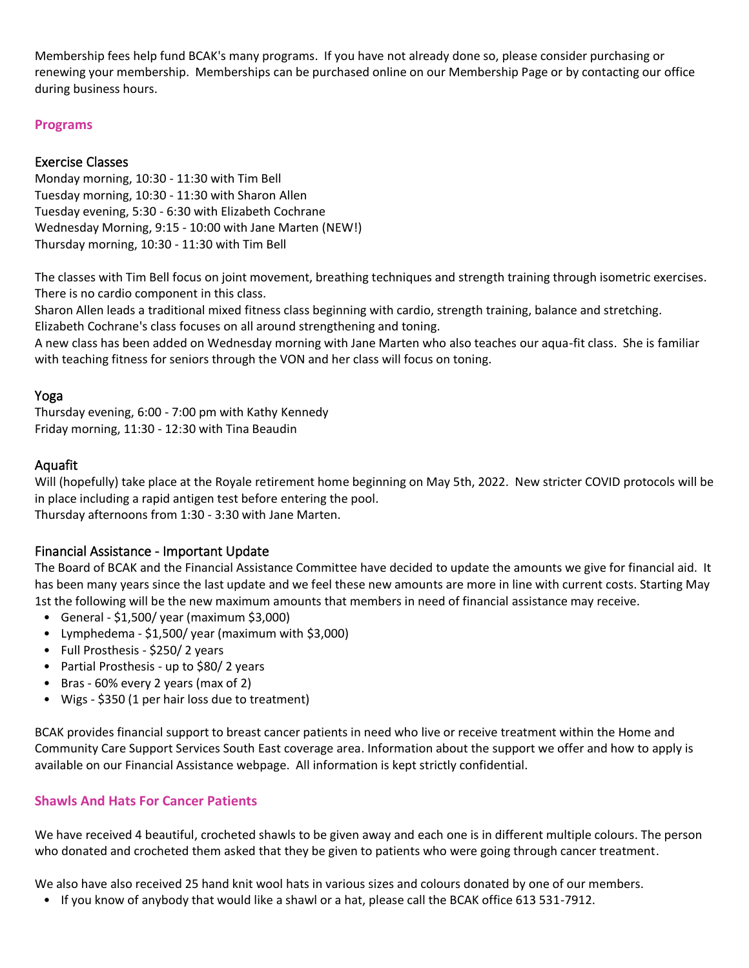Membership fees help fund BCAK's many programs. If you have not already done so, please consider purchasing or renewing your membership. Memberships can be purchased online on our Membership Page or by contacting our office during business hours.

# **Programs**

# Exercise Classes

Monday morning, 10:30 - 11:30 with Tim Bell Tuesday morning, 10:30 - 11:30 with Sharon Allen Tuesday evening, 5:30 - 6:30 with Elizabeth Cochrane Wednesday Morning, 9:15 - 10:00 with Jane Marten (NEW!) Thursday morning, 10:30 - 11:30 with Tim Bell

The classes with Tim Bell focus on joint movement, breathing techniques and strength training through isometric exercises. There is no cardio component in this class.

Sharon Allen leads a traditional mixed fitness class beginning with cardio, strength training, balance and stretching. Elizabeth Cochrane's class focuses on all around strengthening and toning.

A new class has been added on Wednesday morning with Jane Marten who also teaches our aqua-fit class. She is familiar with teaching fitness for seniors through the VON and her class will focus on toning.

# Yoga

Thursday evening, 6:00 - 7:00 pm with Kathy Kennedy Friday morning, 11:30 - 12:30 with Tina Beaudin

# Aquafit

Will (hopefully) take place at the Royale retirement home beginning on May 5th, 2022. New stricter COVID protocols will be in place including a rapid antigen test before entering the pool.

Thursday afternoons from 1:30 - 3:30 with Jane Marten.

# Financial Assistance - Important Update

The Board of BCAK and the Financial Assistance Committee have decided to update the amounts we give for financial aid. It has been many years since the last update and we feel these new amounts are more in line with current costs. Starting May 1st the following will be the new maximum amounts that members in need of financial assistance may receive.

- General \$1,500/ year (maximum \$3,000)
- Lymphedema \$1,500/ year (maximum with \$3,000)
- Full Prosthesis \$250/ 2 years
- Partial Prosthesis up to \$80/ 2 years
- Bras 60% every 2 years (max of 2)
- Wigs \$350 (1 per hair loss due to treatment)

BCAK provides financial support to breast cancer patients in need who live or receive treatment within the Home and Community Care Support Services South East coverage area. Information about the support we offer and how to apply is available on our Financial Assistance webpage. All information is kept strictly confidential.

# **Shawls And Hats For Cancer Patients**

We have received 4 beautiful, crocheted shawls to be given away and each one is in different multiple colours. The person who donated and crocheted them asked that they be given to patients who were going through cancer treatment.

We also have also received 25 hand knit wool hats in various sizes and colours donated by one of our members.

• If you know of anybody that would like a shawl or a hat, please call the BCAK office 613 531-7912.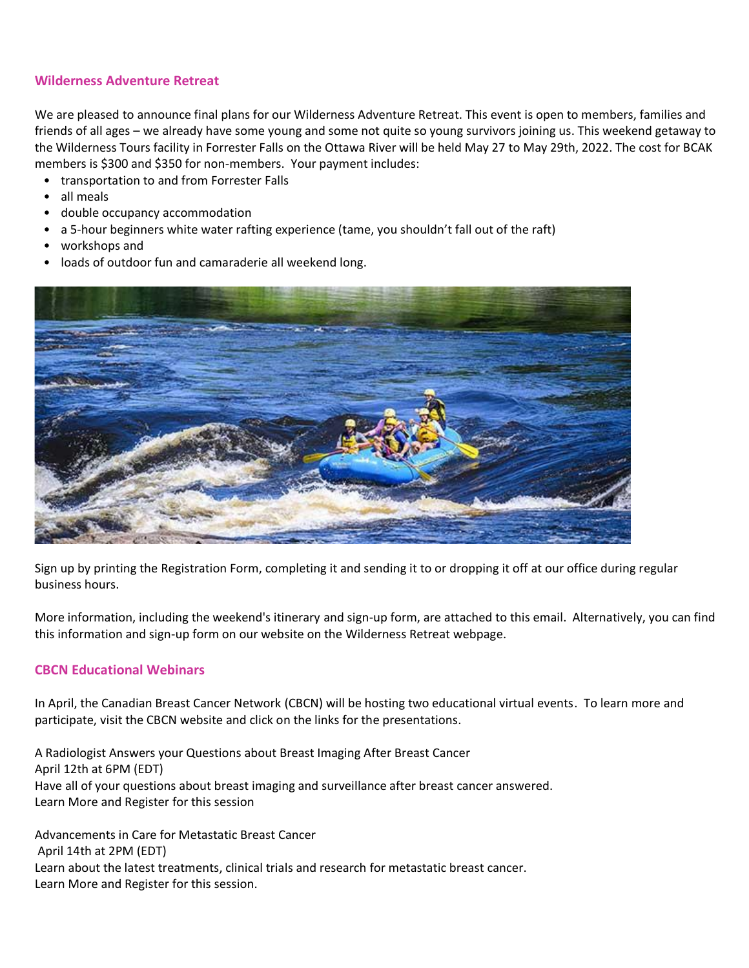# **Wilderness Adventure Retreat**

We are pleased to announce final plans for our Wilderness Adventure Retreat. This event is open to members, families and friends of all ages – we already have some young and some not quite so young survivors joining us. This weekend getaway to the Wilderness Tours facility in Forrester Falls on the Ottawa River will be held May 27 to May 29th, 2022. The cost for BCAK members is \$300 and \$350 for non-members. Your payment includes:

- transportation to and from Forrester Falls
- all meals
- double occupancy accommodation
- a 5-hour beginners white water rafting experience (tame, you shouldn't fall out of the raft)
- workshops and
- loads of outdoor fun and camaraderie all weekend long.



Sign up by printing the Registration Form, completing it and sending it to or dropping it off at our office during regular business hours.

More information, including the weekend's itinerary and sign-up form, are attached to this email. Alternatively, you can find this information and sign-up form on our website on the Wilderness Retreat webpage.

### **CBCN Educational Webinars**

In April, the Canadian Breast Cancer Network (CBCN) will be hosting two educational virtual events. To learn more and participate, visit the CBCN website and click on the links for the presentations.

A Radiologist Answers your Questions about Breast Imaging After Breast Cancer April 12th at 6PM (EDT) Have all of your questions about breast imaging and surveillance after breast cancer answered. Learn More and Register for this session

Advancements in Care for Metastatic Breast Cancer April 14th at 2PM (EDT) Learn about the latest treatments, clinical trials and research for metastatic breast cancer. Learn More and Register for this session.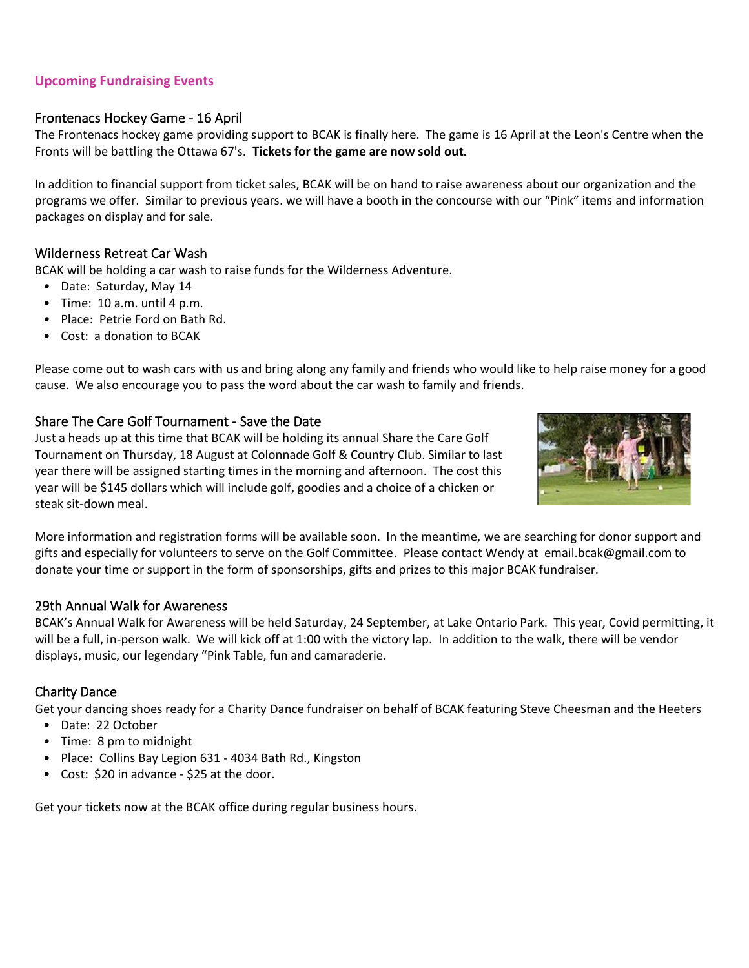# **Upcoming Fundraising Events**

# Frontenacs Hockey Game - 16 April

The Frontenacs hockey game providing support to BCAK is finally here. The game is 16 April at the Leon's Centre when the Fronts will be battling the Ottawa 67's. **Tickets for the game are now sold out.**

In addition to financial support from ticket sales, BCAK will be on hand to raise awareness about our organization and the programs we offer. Similar to previous years. we will have a booth in the concourse with our "Pink" items and information packages on display and for sale.

## Wilderness Retreat Car Wash

BCAK will be holding a car wash to raise funds for the Wilderness Adventure.

- Date: Saturday, May 14
- Time: 10 a.m. until 4 p.m.
- Place: Petrie Ford on Bath Rd.
- Cost: a donation to BCAK

Please come out to wash cars with us and bring along any family and friends who would like to help raise money for a good cause. We also encourage you to pass the word about the car wash to family and friends.

### Share The Care Golf Tournament - Save the Date

Just a heads up at this time that BCAK will be holding its annual Share the Care Golf Tournament on Thursday, 18 August at Colonnade Golf & Country Club. Similar to last year there will be assigned starting times in the morning and afternoon. The cost this year will be \$145 dollars which will include golf, goodies and a choice of a chicken or steak sit-down meal.



More information and registration forms will be available soon. In the meantime, we are searching for donor support and gifts and especially for volunteers to serve on the Golf Committee. Please contact Wendy at email.bcak@gmail.com to donate your time or support in the form of sponsorships, gifts and prizes to this major BCAK fundraiser.

# 29th Annual Walk for Awareness

BCAK's Annual Walk for Awareness will be held Saturday, 24 September, at Lake Ontario Park. This year, Covid permitting, it will be a full, in-person walk. We will kick off at 1:00 with the victory lap. In addition to the walk, there will be vendor displays, music, our legendary "Pink Table, fun and camaraderie.

### Charity Dance

Get your dancing shoes ready for a Charity Dance fundraiser on behalf of BCAK featuring Steve Cheesman and the Heeters

- Date: 22 October
- Time: 8 pm to midnight
- Place: Collins Bay Legion 631 4034 Bath Rd., Kingston
- Cost: \$20 in advance \$25 at the door.

Get your tickets now at the BCAK office during regular business hours.